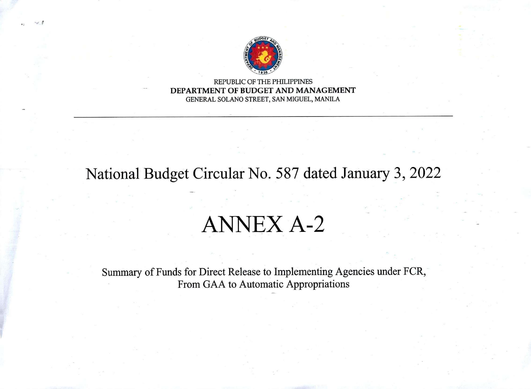

REPUBLIC OF THE PHILIPPINES DEPARTMENT OF BUDGET AND MANAGEMENT GENERAL SOLANO STREET, SAN MIGUEL, MANILA

National Budget Circular No. 587 dated January 3, 2022

## ANNEX A-2

Summary of Funds for Direct Release to Implementing Agencies under FCR, From GAA to Automatic Appropriations

.j